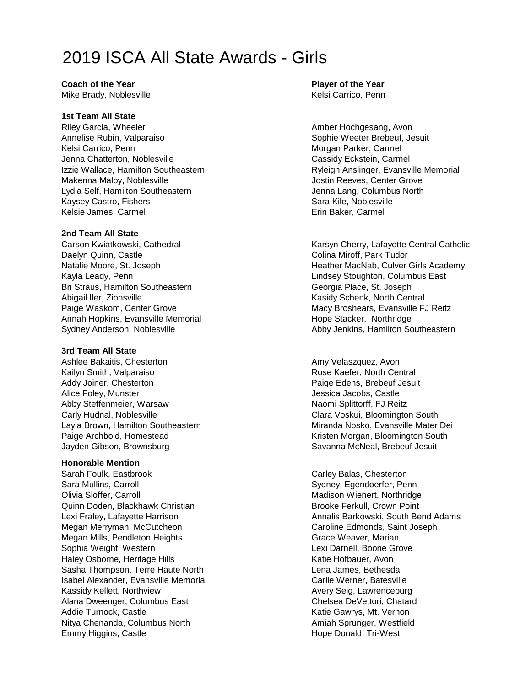# 2019 ISCA All State Awards - Girls

**Coach of the Year Player of the Year** Mike Brady, Noblesville Kelsi Carrico, Penn

### **1st Team All State**

Riley Garcia, Wheeler **American** Amber Hochgesang, Avon Annelise Rubin, Valparaiso Sophie Weeter Brebeuf, Jesuit Kelsi Carrico, Penn Morgan Parker, Carmel Jenna Chatterton, Noblesville Cassidy Eckstein, Carmel Makenna Maloy, Noblesville **Jostin Reeves, Center Grove** Jostin Reeves, Center Grove Lydia Self, Hamilton Southeastern **Jenna Lang, Columbus North** Kaysey Castro, Fishers Sara Kile, Noblesville Kelsie James, Carmel **Erin Baker, Carmel** Erin Baker, Carmel

### **2nd Team All State**

Daelyn Quinn, Castle Colina Miroff, Park Tudor Kayla Leady, Penn **Lindsey Stoughton, Columbus East** Bri Straus, Hamilton Southeastern Georgia Place, St. Joseph Abigail Iler, Zionsville Kasidy Schenk, North Central Abigail Iler, Zionsville Annah Hopkins, Evansville Memorial **Hope Stacker, Northridge** Hope Stacker, Northridge

### **3rd Team All State**

Ashlee Bakaitis, Chesterton Amy Velaszquez, Avon Kailyn Smith, Valparaiso **Rose Kaefer, North Central** Addy Joiner, Chesterton **Paige Edens, Brebeuf Jesuit** Paige Edens, Brebeuf Jesuit Alice Foley, Munster **Jessica Jacobs, Castle** Abby Steffenmeier, Warsaw Naomi Splittorff, FJ Reitz Carly Hudnal, Noblesville Carly Clara Voskui, Bloomington South Layla Brown, Hamilton Southeastern Miranda Nosko, Evansville Mater Dei Paige Archbold, Homestead **Kristen Morgan, Bloomington South** Jayden Gibson, Brownsburg Savanna McNeal, Brebeuf Jesuit

### **Honorable Mention**

Sarah Foulk, Eastbrook Carley Balas, Chesterton Sara Mullins, Carroll Sydney, Egendoerfer, Penn Olivia Sloffer, Carroll **Mathematic Collection Collection** Madison Wienert, Northridge Quinn Doden, Blackhawk Christian Brooke Ferkull, Crown Point Megan Merryman, McCutcheon Caroline Edmonds, Saint Joseph Megan Mills, Pendleton Heights Grace Weaver, Marian Grace Weaver, Marian Sophia Weight, Western **Lexi Darnell**, Boone Grove Haley Osborne, Heritage Hills Katie Hofbauer, Avon Sasha Thompson, Terre Haute North **Lena James**, Bethesda Isabel Alexander, Evansville Memorial Carlie Werner, Batesville Kassidy Kellett, Northview Avery Seig, Lawrenceburg Alana Dweenger, Columbus East Chelsea DeVettori, Chatard Addie Turnock, Castle Katie Gawrys, Mt. Vernon Nitya Chenanda, Columbus North **Amiah Sprunger, Westfield** Amiah Sprunger, Westfield Emmy Higgins, Castle **Hope Donald, Tri-West** 

Izzie Wallace, Hamilton Southeastern **Research Example 2018** Ryleigh Anslinger, Evansville Memorial

Carson Kwiatkowski, Cathedral Karsyn Cherry, Lafayette Central Catholic Catholic Natalie Moore, St. Joseph **Heather MacNab, Culver Girls Academy** Paige Waskom, Center Grove Macy Broshears, Evansville FJ Reitz Sydney Anderson, Noblesville **Abby Jenkins, Hamilton Southeastern** 

Lexi Fraley, Lafayette Harrison **Annalis Barkowski, South Bend Adams** Annalis Barkowski, South Bend Adams